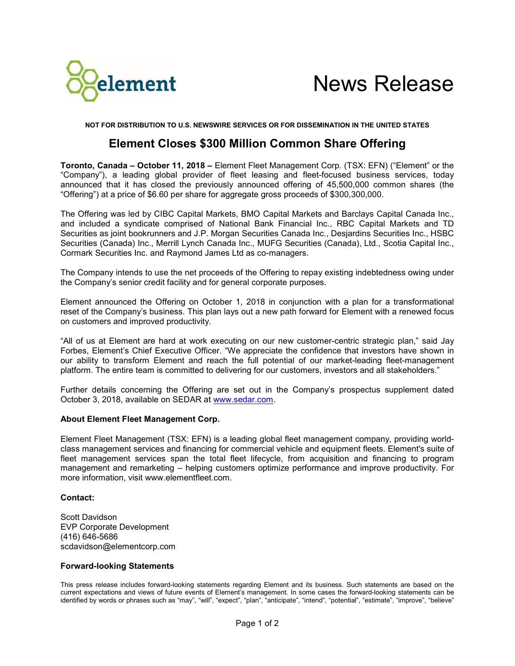

News Release

**NOT FOR DISTRIBUTION TO U.S. NEWSWIRE SERVICES OR FOR DISSEMINATION IN THE UNITED STATES**

## **Element Closes \$300 Million Common Share Offering**

**Toronto, Canada – October 11, 2018 –** Element Fleet Management Corp. (TSX: EFN) ("Element" or the "Company"), a leading global provider of fleet leasing and fleet-focused business services, today announced that it has closed the previously announced offering of 45,500,000 common shares (the "Offering") at a price of \$6.60 per share for aggregate gross proceeds of \$300,300,000.

The Offering was led by CIBC Capital Markets, BMO Capital Markets and Barclays Capital Canada Inc., and included a syndicate comprised of National Bank Financial Inc., RBC Capital Markets and TD Securities as joint bookrunners and J.P. Morgan Securities Canada Inc., Desjardins Securities Inc., HSBC Securities (Canada) Inc., Merrill Lynch Canada Inc., MUFG Securities (Canada), Ltd., Scotia Capital Inc., Cormark Securities Inc. and Raymond James Ltd as co-managers.

The Company intends to use the net proceeds of the Offering to repay existing indebtedness owing under the Company's senior credit facility and for general corporate purposes.

Element announced the Offering on October 1, 2018 in conjunction with a plan for a transformational reset of the Company's business. This plan lays out a new path forward for Element with a renewed focus on customers and improved productivity.

"All of us at Element are hard at work executing on our new customer-centric strategic plan," said Jay Forbes, Element's Chief Executive Officer. "We appreciate the confidence that investors have shown in our ability to transform Element and reach the full potential of our market-leading fleet-management platform. The entire team is committed to delivering for our customers, investors and all stakeholders."

Further details concerning the Offering are set out in the Company's prospectus supplement dated October 3, 2018, available on SEDAR at [www.sedar.com.](http://www.sedar.com/)

## **About Element Fleet Management Corp.**

Element Fleet Management (TSX: EFN) is a leading global fleet management company, providing worldclass management services and financing for commercial vehicle and equipment fleets. Element's suite of fleet management services span the total fleet lifecycle, from acquisition and financing to program management and remarketing – helping customers optimize performance and improve productivity. For more information, visit www.elementfleet.com.

## **Contact:**

Scott Davidson EVP Corporate Development (416) 646-5686 scdavidson@elementcorp.com

## **Forward-looking Statements**

This press release includes forward-looking statements regarding Element and its business. Such statements are based on the current expectations and views of future events of Element's management. In some cases the forward-looking statements can be identified by words or phrases such as "may", "will", "expect", "plan", "anticipate", "intend", "potential", "estimate", "improve", "believe"